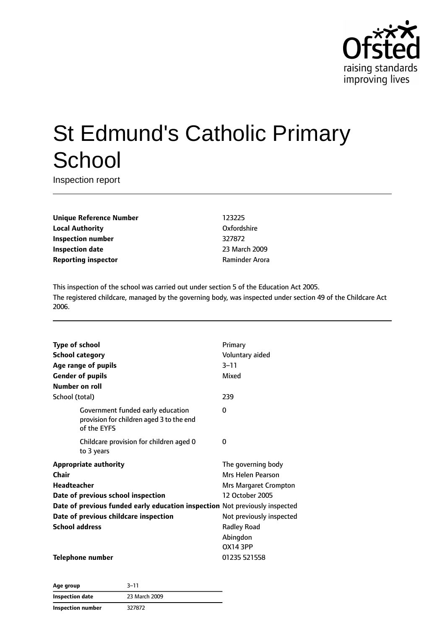

# St Edmund's Catholic Primary **School**

Inspection report

**Unique Reference Number** 123225 **Local Authority COMPOSE COMPOSE COMPOSE CONFORMITY Oxfordshire Inspection number** 327872 **Inspection date** 23 March 2009 **Reporting inspector CONFIDENTIAL RAMING PROPERTY RAMINGER AROUNDER AROUNDER AROUNDER AROUNDER AROUNDER AROUNDER** 

This inspection of the school was carried out under section 5 of the Education Act 2005. The registered childcare, managed by the governing body, was inspected under section 49 of the Childcare Act 2006.

| <b>Type of school</b>                                                                        | Primary                  |
|----------------------------------------------------------------------------------------------|--------------------------|
| <b>School category</b>                                                                       | Voluntary aided          |
| Age range of pupils                                                                          | $3 - 11$                 |
| <b>Gender of pupils</b>                                                                      | Mixed                    |
| Number on roll                                                                               |                          |
| School (total)                                                                               | 239                      |
| Government funded early education<br>provision for children aged 3 to the end<br>of the EYFS | 0                        |
| Childcare provision for children aged 0<br>to 3 years                                        | 0                        |
| <b>Appropriate authority</b>                                                                 | The governing body       |
| Chair                                                                                        | Mrs Helen Pearson        |
| Headteacher                                                                                  | Mrs Margaret Crompton    |
| Date of previous school inspection                                                           | 12 October 2005          |
| Date of previous funded early education inspection Not previously inspected                  |                          |
| Date of previous childcare inspection                                                        | Not previously inspected |
| <b>School address</b>                                                                        | <b>Radley Road</b>       |
|                                                                                              | Abingdon                 |
|                                                                                              | <b>OX14 3PP</b>          |
| Telephone number                                                                             | 01235 521558             |

| Age group                | $3 - 11$      |
|--------------------------|---------------|
| Inspection date          | 23 March 2009 |
| <b>Inspection number</b> | 327872        |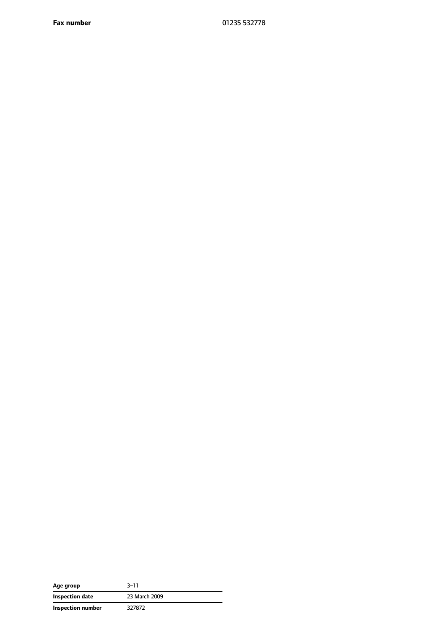**Fax number** 01235 532778

| Age group         | $3 - 11$      |
|-------------------|---------------|
| Inspection date   | 23 March 2009 |
| Inspection number | 327872        |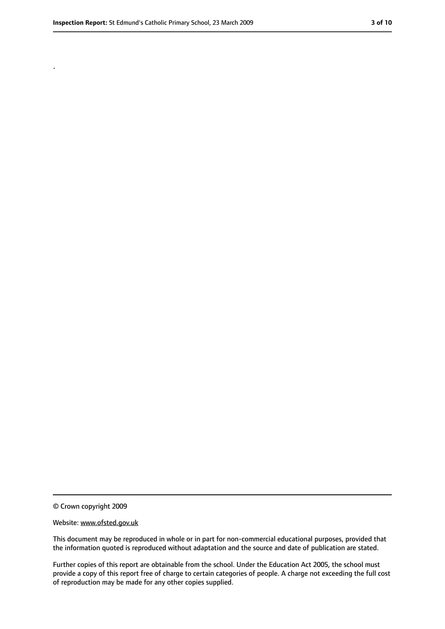.

<sup>©</sup> Crown copyright 2009

Website: www.ofsted.gov.uk

This document may be reproduced in whole or in part for non-commercial educational purposes, provided that the information quoted is reproduced without adaptation and the source and date of publication are stated.

Further copies of this report are obtainable from the school. Under the Education Act 2005, the school must provide a copy of this report free of charge to certain categories of people. A charge not exceeding the full cost of reproduction may be made for any other copies supplied.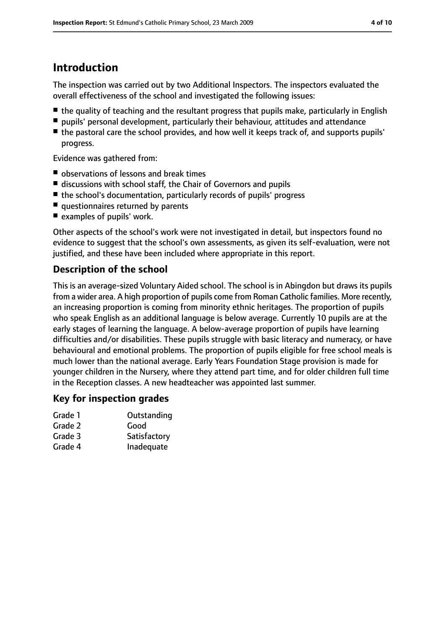# **Introduction**

The inspection was carried out by two Additional Inspectors. The inspectors evaluated the overall effectiveness of the school and investigated the following issues:

- the quality of teaching and the resultant progress that pupils make, particularly in English
- pupils' personal development, particularly their behaviour, attitudes and attendance
- the pastoral care the school provides, and how well it keeps track of, and supports pupils' progress.

Evidence was gathered from:

- observations of lessons and break times
- discussions with school staff, the Chair of Governors and pupils
- the school's documentation, particularly records of pupils' progress
- questionnaires returned by parents
- examples of pupils' work.

Other aspects of the school's work were not investigated in detail, but inspectors found no evidence to suggest that the school's own assessments, as given its self-evaluation, were not justified, and these have been included where appropriate in this report.

#### **Description of the school**

This is an average-sized Voluntary Aided school. The school is in Abingdon but draws its pupils from a wider area. A high proportion of pupils come from Roman Catholic families. More recently, an increasing proportion is coming from minority ethnic heritages. The proportion of pupils who speak English as an additional language is below average. Currently 10 pupils are at the early stages of learning the language. A below-average proportion of pupils have learning difficulties and/or disabilities. These pupils struggle with basic literacy and numeracy, or have behavioural and emotional problems. The proportion of pupils eligible for free school meals is much lower than the national average. Early Years Foundation Stage provision is made for younger children in the Nursery, where they attend part time, and for older children full time in the Reception classes. A new headteacher was appointed last summer.

#### **Key for inspection grades**

| Grade 1 | Outstanding  |
|---------|--------------|
| Grade 2 | Good         |
| Grade 3 | Satisfactory |
| Grade 4 | Inadequate   |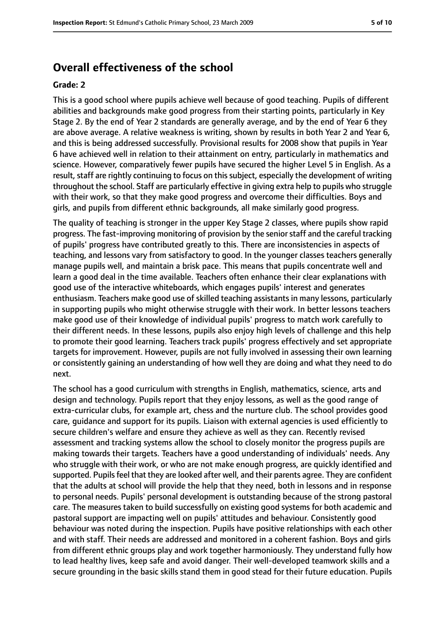### **Overall effectiveness of the school**

#### **Grade: 2**

This is a good school where pupils achieve well because of good teaching. Pupils of different abilities and backgrounds make good progress from their starting points, particularly in Key Stage 2. By the end of Year 2 standards are generally average, and by the end of Year 6 they are above average. A relative weakness is writing, shown by results in both Year 2 and Year 6, and this is being addressed successfully. Provisional results for 2008 show that pupils in Year 6 have achieved well in relation to their attainment on entry, particularly in mathematics and science. However, comparatively fewer pupils have secured the higher Level 5 in English. As a result, staff are rightly continuing to focus on this subject, especially the development of writing throughout the school. Staff are particularly effective in giving extra help to pupils who struggle with their work, so that they make good progress and overcome their difficulties. Boys and girls, and pupils from different ethnic backgrounds, all make similarly good progress.

The quality of teaching is stronger in the upper Key Stage 2 classes, where pupils show rapid progress. The fast-improving monitoring of provision by the senior staff and the careful tracking of pupils' progress have contributed greatly to this. There are inconsistencies in aspects of teaching, and lessons vary from satisfactory to good. In the younger classes teachers generally manage pupils well, and maintain a brisk pace. This means that pupils concentrate well and learn a good deal in the time available. Teachers often enhance their clear explanations with good use of the interactive whiteboards, which engages pupils' interest and generates enthusiasm. Teachers make good use of skilled teaching assistants in many lessons, particularly in supporting pupils who might otherwise struggle with their work. In better lessons teachers make good use of their knowledge of individual pupils' progress to match work carefully to their different needs. In these lessons, pupils also enjoy high levels of challenge and this help to promote their good learning. Teachers track pupils' progress effectively and set appropriate targets for improvement. However, pupils are not fully involved in assessing their own learning or consistently gaining an understanding of how well they are doing and what they need to do next.

The school has a good curriculum with strengths in English, mathematics, science, arts and design and technology. Pupils report that they enjoy lessons, as well as the good range of extra-curricular clubs, for example art, chess and the nurture club. The school provides good care, guidance and support for its pupils. Liaison with external agencies is used efficiently to secure children's welfare and ensure they achieve as well as they can. Recently revised assessment and tracking systems allow the school to closely monitor the progress pupils are making towards their targets. Teachers have a good understanding of individuals' needs. Any who struggle with their work, or who are not make enough progress, are quickly identified and supported. Pupils feel that they are looked after well, and their parents agree. They are confident that the adults at school will provide the help that they need, both in lessons and in response to personal needs. Pupils' personal development is outstanding because of the strong pastoral care. The measures taken to build successfully on existing good systems for both academic and pastoral support are impacting well on pupils' attitudes and behaviour. Consistently good behaviour was noted during the inspection. Pupils have positive relationships with each other and with staff. Their needs are addressed and monitored in a coherent fashion. Boys and girls from different ethnic groups play and work together harmoniously. They understand fully how to lead healthy lives, keep safe and avoid danger. Their well-developed teamwork skills and a secure grounding in the basic skills stand them in good stead for their future education. Pupils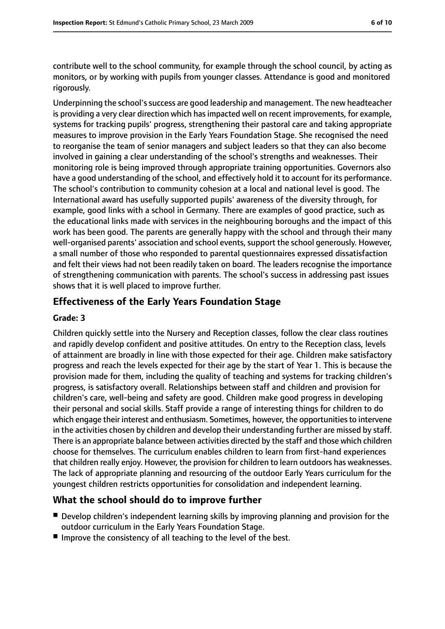contribute well to the school community, for example through the school council, by acting as monitors, or by working with pupils from younger classes. Attendance is good and monitored rigorously.

Underpinning the school's success are good leadership and management. The new headteacher is providing a very clear direction which has impacted well on recent improvements, for example, systems for tracking pupils' progress, strengthening their pastoral care and taking appropriate measures to improve provision in the Early Years Foundation Stage. She recognised the need to reorganise the team of senior managers and subject leaders so that they can also become involved in gaining a clear understanding of the school's strengths and weaknesses. Their monitoring role is being improved through appropriate training opportunities. Governors also have a good understanding of the school, and effectively hold it to account for its performance. The school's contribution to community cohesion at a local and national level is good. The International award has usefully supported pupils' awareness of the diversity through, for example, good links with a school in Germany. There are examples of good practice, such as the educational links made with services in the neighbouring boroughs and the impact of this work has been good. The parents are generally happy with the school and through their many well-organised parents' association and school events, support the school generously. However, a small number of those who responded to parental questionnaires expressed dissatisfaction and felt their views had not been readily taken on board. The leaders recognise the importance of strengthening communication with parents. The school's success in addressing past issues shows that it is well placed to improve further.

#### **Effectiveness of the Early Years Foundation Stage**

#### **Grade: 3**

Children quickly settle into the Nursery and Reception classes, follow the clear class routines and rapidly develop confident and positive attitudes. On entry to the Reception class, levels of attainment are broadly in line with those expected for their age. Children make satisfactory progress and reach the levels expected for their age by the start of Year 1. This is because the provision made for them, including the quality of teaching and systems for tracking children's progress, is satisfactory overall. Relationships between staff and children and provision for children's care, well-being and safety are good. Children make good progress in developing their personal and social skills. Staff provide a range of interesting things for children to do which engage their interest and enthusiasm. Sometimes, however, the opportunities to intervene in the activities chosen by children and develop their understanding further are missed by staff. There is an appropriate balance between activities directed by the staff and those which children choose for themselves. The curriculum enables children to learn from first-hand experiences that children really enjoy. However, the provision for children to learn outdoors has weaknesses. The lack of appropriate planning and resourcing of the outdoor Early Years curriculum for the youngest children restricts opportunities for consolidation and independent learning.

#### **What the school should do to improve further**

- Develop children's independent learning skills by improving planning and provision for the outdoor curriculum in the Early Years Foundation Stage.
- Improve the consistency of all teaching to the level of the best.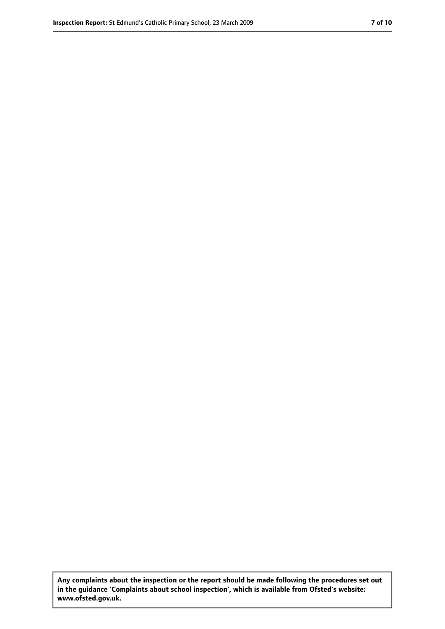**Any complaints about the inspection or the report should be made following the procedures set out in the guidance 'Complaints about school inspection', which is available from Ofsted's website: www.ofsted.gov.uk.**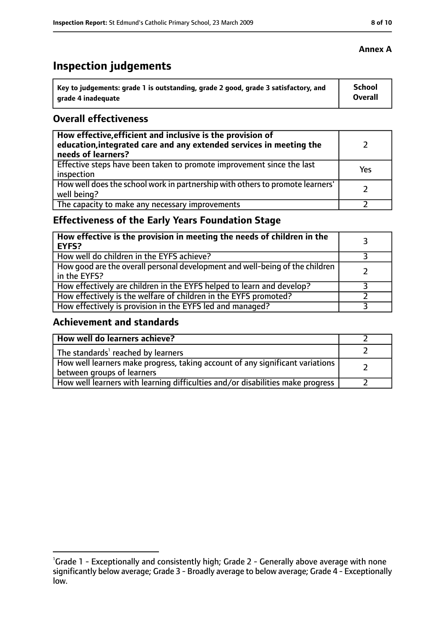# **Inspection judgements**

| Key to judgements: grade 1 is outstanding, grade 2 good, grade 3 satisfactory, and | School  |
|------------------------------------------------------------------------------------|---------|
| arade 4 inadequate                                                                 | Overall |

#### **Overall effectiveness**

| How effective, efficient and inclusive is the provision of<br>education, integrated care and any extended services in meeting the<br>needs of learners? |     |
|---------------------------------------------------------------------------------------------------------------------------------------------------------|-----|
| Effective steps have been taken to promote improvement since the last<br>inspection                                                                     | Yes |
| How well does the school work in partnership with others to promote learners'<br>well being?                                                            |     |
| The capacity to make any necessary improvements                                                                                                         |     |

# **Effectiveness of the Early Years Foundation Stage**

| How effective is the provision in meeting the needs of children in the<br><b>EYFS?</b>       |  |
|----------------------------------------------------------------------------------------------|--|
| How well do children in the EYFS achieve?                                                    |  |
| How good are the overall personal development and well-being of the children<br>in the EYFS? |  |
| How effectively are children in the EYFS helped to learn and develop?                        |  |
| How effectively is the welfare of children in the EYFS promoted?                             |  |
| How effectively is provision in the EYFS led and managed?                                    |  |

#### **Achievement and standards**

| How well do learners achieve?                                                                               |  |
|-------------------------------------------------------------------------------------------------------------|--|
| The standards <sup>1</sup> reached by learners                                                              |  |
| How well learners make progress, taking account of any significant variations<br>between groups of learners |  |
| How well learners with learning difficulties and/or disabilities make progress                              |  |

#### **Annex A**

<sup>&</sup>lt;sup>1</sup>Grade 1 - Exceptionally and consistently high; Grade 2 - Generally above average with none significantly below average; Grade 3 - Broadly average to below average; Grade 4 - Exceptionally low.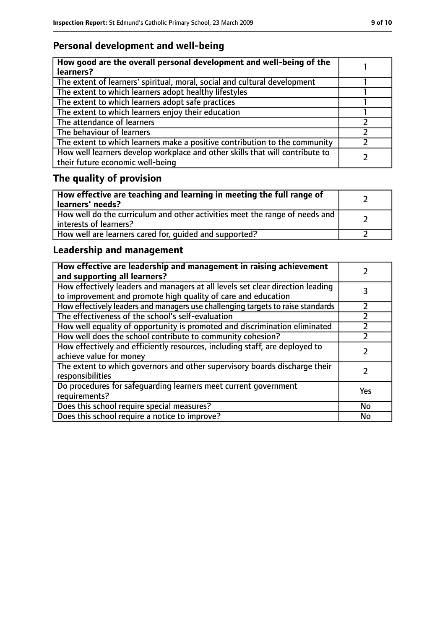# **Personal development and well-being**

| How good are the overall personal development and well-being of the<br>learners?                                 |  |
|------------------------------------------------------------------------------------------------------------------|--|
| The extent of learners' spiritual, moral, social and cultural development                                        |  |
| The extent to which learners adopt healthy lifestyles                                                            |  |
| The extent to which learners adopt safe practices                                                                |  |
| The extent to which learners enjoy their education                                                               |  |
| The attendance of learners                                                                                       |  |
| The behaviour of learners                                                                                        |  |
| The extent to which learners make a positive contribution to the community                                       |  |
| How well learners develop workplace and other skills that will contribute to<br>their future economic well-being |  |

# **The quality of provision**

| How effective are teaching and learning in meeting the full range of<br>learners' needs?              |  |
|-------------------------------------------------------------------------------------------------------|--|
| How well do the curriculum and other activities meet the range of needs and<br>interests of learners? |  |
| How well are learners cared for, quided and supported?                                                |  |

# **Leadership and management**

| How effective are leadership and management in raising achievement<br>and supporting all learners?                                              |           |
|-------------------------------------------------------------------------------------------------------------------------------------------------|-----------|
| How effectively leaders and managers at all levels set clear direction leading<br>to improvement and promote high quality of care and education |           |
| How effectively leaders and managers use challenging targets to raise standards                                                                 | フ         |
| The effectiveness of the school's self-evaluation                                                                                               |           |
| How well equality of opportunity is promoted and discrimination eliminated                                                                      |           |
| How well does the school contribute to community cohesion?                                                                                      |           |
| How effectively and efficiently resources, including staff, are deployed to<br>achieve value for money                                          |           |
| The extent to which governors and other supervisory boards discharge their<br>responsibilities                                                  |           |
| Do procedures for safequarding learners meet current government<br>requirements?                                                                | Yes       |
| Does this school require special measures?                                                                                                      | <b>No</b> |
| Does this school require a notice to improve?                                                                                                   | No        |